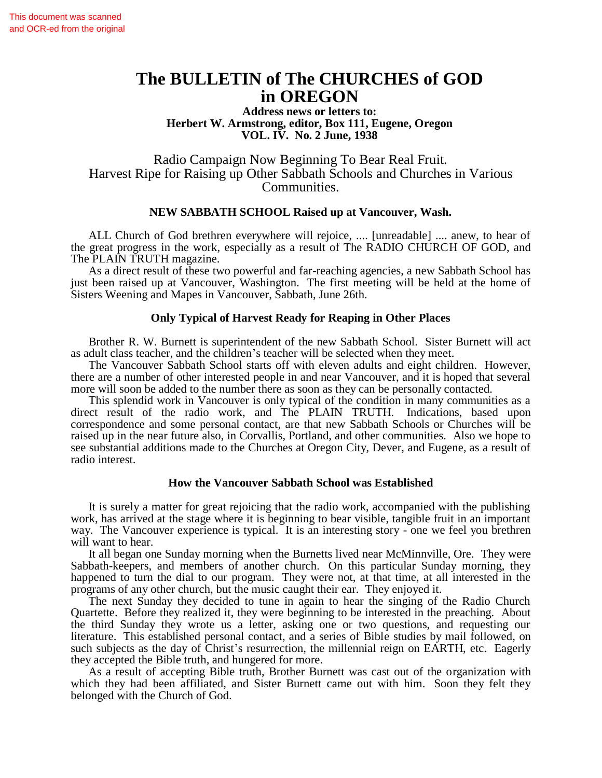# **The BULLETIN of The CHURCHES of GOD in OREGON**

**Address news or letters to: Herbert W. Armstrong, editor, Box 111, Eugene, Oregon VOL. IV. No. 2 June, 1938**

Radio Campaign Now Beginning To Bear Real Fruit. Harvest Ripe for Raising up Other Sabbath Schools and Churches in Various Communities.

# **NEW SABBATH SCHOOL Raised up at Vancouver, Wash.**

ALL Church of God brethren everywhere will rejoice, .... [unreadable] .... anew, to hear of the great progress in the work, especially as a result of The RADIO CHURCH OF GOD, and The PLAIN TRUTH magazine.

As a direct result of these two powerful and far-reaching agencies, a new Sabbath School has just been raised up at Vancouver, Washington. The first meeting will be held at the home of Sisters Weening and Mapes in Vancouver, Sabbath, June 26th.

# **Only Typical of Harvest Ready for Reaping in Other Places**

Brother R. W. Burnett is superintendent of the new Sabbath School. Sister Burnett will act as adult class teacher, and the children's teacher will be selected when they meet.

The Vancouver Sabbath School starts off with eleven adults and eight children. However, there are a number of other interested people in and near Vancouver, and it is hoped that several more will soon be added to the number there as soon as they can be personally contacted.

This splendid work in Vancouver is only typical of the condition in many communities as a direct result of the radio work, and The PLAIN TRUTH. Indications, based upon correspondence and some personal contact, are that new Sabbath Schools or Churches will be raised up in the near future also, in Corvallis, Portland, and other communities. Also we hope to see substantial additions made to the Churches at Oregon City, Dever, and Eugene, as a result of radio interest.

## **How the Vancouver Sabbath School was Established**

It is surely a matter for great rejoicing that the radio work, accompanied with the publishing work, has arrived at the stage where it is beginning to bear visible, tangible fruit in an important way. The Vancouver experience is typical. It is an interesting story - one we feel you brethren will want to hear.

It all began one Sunday morning when the Burnetts lived near McMinnville, Ore. They were Sabbath-keepers, and members of another church. On this particular Sunday morning, they happened to turn the dial to our program. They were not, at that time, at all interested in the programs of any other church, but the music caught their ear. They enjoyed it.

The next Sunday they decided to tune in again to hear the singing of the Radio Church Quartette. Before they realized it, they were beginning to be interested in the preaching. About the third Sunday they wrote us a letter, asking one or two questions, and requesting our literature. This established personal contact, and a series of Bible studies by mail followed, on such subjects as the day of Christ's resurrection, the millennial reign on EARTH, etc. Eagerly they accepted the Bible truth, and hungered for more.

As a result of accepting Bible truth, Brother Burnett was cast out of the organization with which they had been affiliated, and Sister Burnett came out with him. Soon they felt they belonged with the Church of God.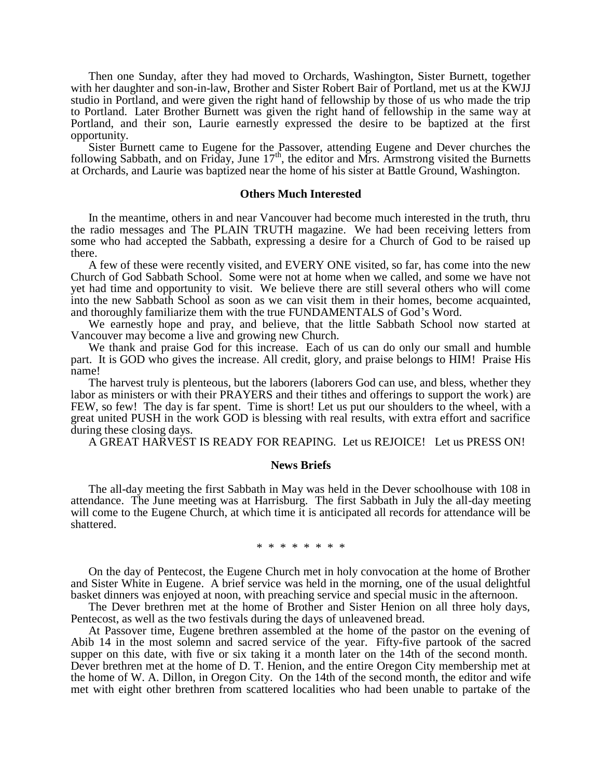Then one Sunday, after they had moved to Orchards, Washington, Sister Burnett, together with her daughter and son-in-law, Brother and Sister Robert Bair of Portland, met us at the KWJJ studio in Portland, and were given the right hand of fellowship by those of us who made the trip to Portland. Later Brother Burnett was given the right hand of fellowship in the same way at Portland, and their son, Laurie earnestly expressed the desire to be baptized at the first opportunity.

Sister Burnett came to Eugene for the Passover, attending Eugene and Dever churches the following Sabbath, and on Friday, June  $17<sup>th</sup>$ , the editor and Mrs. Armstrong visited the Burnetts at Orchards, and Laurie was baptized near the home of his sister at Battle Ground, Washington.

#### **Others Much Interested**

In the meantime, others in and near Vancouver had become much interested in the truth, thru the radio messages and The PLAIN TRUTH magazine. We had been receiving letters from some who had accepted the Sabbath, expressing a desire for a Church of God to be raised up there.

A few of these were recently visited, and EVERY ONE visited, so far, has come into the new Church of God Sabbath School. Some were not at home when we called, and some we have not yet had time and opportunity to visit. We believe there are still several others who will come into the new Sabbath School as soon as we can visit them in their homes, become acquainted, and thoroughly familiarize them with the true FUNDAMENTALS of God's Word.

We earnestly hope and pray, and believe, that the little Sabbath School now started at Vancouver may become a live and growing new Church.

We thank and praise God for this increase. Each of us can do only our small and humble part. It is GOD who gives the increase. All credit, glory, and praise belongs to HIM! Praise His name!

The harvest truly is plenteous, but the laborers (laborers God can use, and bless, whether they labor as ministers or with their PRAYERS and their tithes and offerings to support the work) are FEW, so few! The day is far spent. Time is short! Let us put our shoulders to the wheel, with a great united PUSH in the work GOD is blessing with real results, with extra effort and sacrifice during these closing days.

A GREAT HARVEST IS READY FOR REAPING. Let us REJOICE! Let us PRESS ON!

#### **News Briefs**

The all-day meeting the first Sabbath in May was held in the Dever schoolhouse with 108 in attendance. The June meeting was at Harrisburg. The first Sabbath in July the all-day meeting will come to the Eugene Church, at which time it is anticipated all records for attendance will be shattered.

#### \* \* \* \* \* \* \* \*

On the day of Pentecost, the Eugene Church met in holy convocation at the home of Brother and Sister White in Eugene. A brief service was held in the morning, one of the usual delightful basket dinners was enjoyed at noon, with preaching service and special music in the afternoon.

The Dever brethren met at the home of Brother and Sister Henion on all three holy days, Pentecost, as well as the two festivals during the days of unleavened bread.

At Passover time, Eugene brethren assembled at the home of the pastor on the evening of Abib 14 in the most solemn and sacred service of the year. Fifty-five partook of the sacred supper on this date, with five or six taking it a month later on the 14th of the second month. Dever brethren met at the home of D. T. Henion, and the entire Oregon City membership met at the home of W. A. Dillon, in Oregon City. On the 14th of the second month, the editor and wife met with eight other brethren from scattered localities who had been unable to partake of the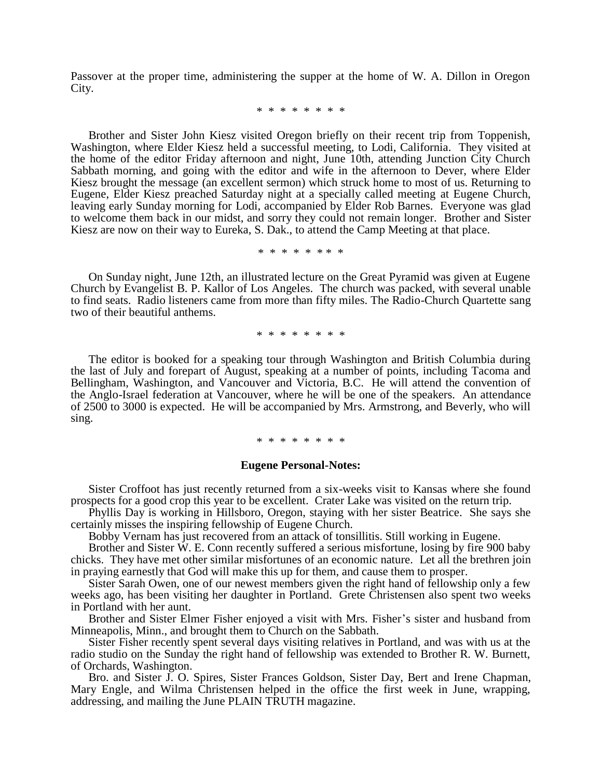Passover at the proper time, administering the supper at the home of W. A. Dillon in Oregon City.

\* \* \* \* \* \* \* \*

Brother and Sister John Kiesz visited Oregon briefly on their recent trip from Toppenish, Washington, where Elder Kiesz held a successful meeting, to Lodi, California. They visited at the home of the editor Friday afternoon and night, June 10th, attending Junction City Church Sabbath morning, and going with the editor and wife in the afternoon to Dever, where Elder Kiesz brought the message (an excellent sermon) which struck home to most of us. Returning to Eugene, Elder Kiesz preached Saturday night at a specially called meeting at Eugene Church, leaving early Sunday morning for Lodi, accompanied by Elder Rob Barnes. Everyone was glad to welcome them back in our midst, and sorry they could not remain longer. Brother and Sister Kiesz are now on their way to Eureka, S. Dak., to attend the Camp Meeting at that place.

\* \* \* \* \* \* \* \*

On Sunday night, June 12th, an illustrated lecture on the Great Pyramid was given at Eugene Church by Evangelist B. P. Kallor of Los Angeles. The church was packed, with several unable to find seats. Radio listeners came from more than fifty miles. The Radio-Church Quartette sang two of their beautiful anthems.

\* \* \* \* \* \* \* \*

The editor is booked for a speaking tour through Washington and British Columbia during the last of July and forepart of August, speaking at a number of points, including Tacoma and Bellingham, Washington, and Vancouver and Victoria, B.C. He will attend the convention of the Anglo-Israel federation at Vancouver, where he will be one of the speakers. An attendance of 2500 to 3000 is expected. He will be accompanied by Mrs. Armstrong, and Beverly, who will sing.

## \* \* \* \* \* \* \* \*

#### **Eugene Personal-Notes:**

Sister Croffoot has just recently returned from a six-weeks visit to Kansas where she found prospects for a good crop this year to be excellent. Crater Lake was visited on the return trip.

Phyllis Day is working in Hillsboro, Oregon, staying with her sister Beatrice. She says she certainly misses the inspiring fellowship of Eugene Church.

Bobby Vernam has just recovered from an attack of tonsillitis. Still working in Eugene.

Brother and Sister W. E. Conn recently suffered a serious misfortune, losing by fire 900 baby chicks. They have met other similar misfortunes of an economic nature. Let all the brethren join in praying earnestly that God will make this up for them, and cause them to prosper.

Sister Sarah Owen, one of our newest members given the right hand of fellowship only a few weeks ago, has been visiting her daughter in Portland. Grete Christensen also spent two weeks in Portland with her aunt.

Brother and Sister Elmer Fisher enjoyed a visit with Mrs. Fisher's sister and husband from Minneapolis, Minn., and brought them to Church on the Sabbath.

Sister Fisher recently spent several days visiting relatives in Portland, and was with us at the radio studio on the Sunday the right hand of fellowship was extended to Brother R. W. Burnett, of Orchards, Washington.

Bro. and Sister J. O. Spires, Sister Frances Goldson, Sister Day, Bert and Irene Chapman, Mary Engle, and Wilma Christensen helped in the office the first week in June, wrapping, addressing, and mailing the June PLAIN TRUTH magazine.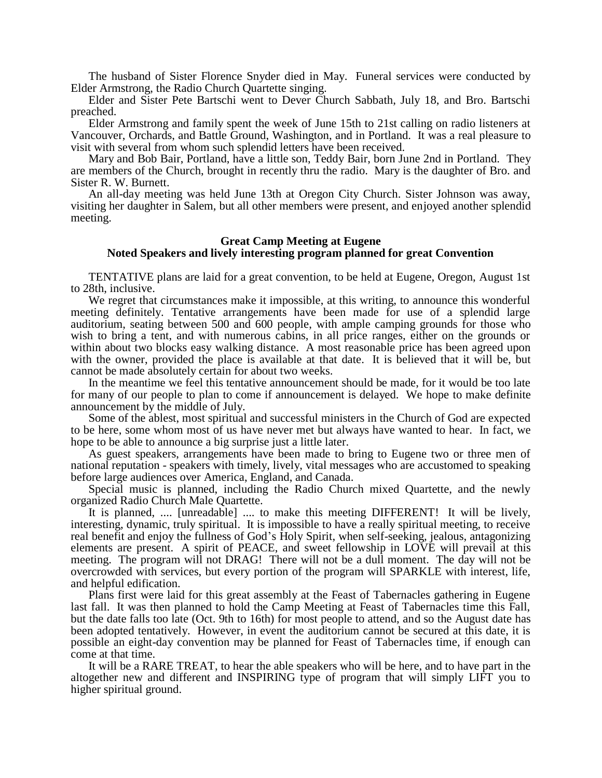The husband of Sister Florence Snyder died in May. Funeral services were conducted by Elder Armstrong, the Radio Church Quartette singing.

Elder and Sister Pete Bartschi went to Dever Church Sabbath, July 18, and Bro. Bartschi preached.

Elder Armstrong and family spent the week of June 15th to 21st calling on radio listeners at Vancouver, Orchards, and Battle Ground, Washington, and in Portland. It was a real pleasure to visit with several from whom such splendid letters have been received.

Mary and Bob Bair, Portland, have a little son, Teddy Bair, born June 2nd in Portland. They are members of the Church, brought in recently thru the radio. Mary is the daughter of Bro. and Sister R. W. Burnett.

An all-day meeting was held June 13th at Oregon City Church. Sister Johnson was away, visiting her daughter in Salem, but all other members were present, and enjoyed another splendid meeting.

# **Great Camp Meeting at Eugene Noted Speakers and lively interesting program planned for great Convention**

TENTATIVE plans are laid for a great convention, to be held at Eugene, Oregon, August 1st to 28th, inclusive.

We regret that circumstances make it impossible, at this writing, to announce this wonderful meeting definitely. Tentative arrangements have been made for use of a splendid large auditorium, seating between 500 and 600 people, with ample camping grounds for those who wish to bring a tent, and with numerous cabins, in all price ranges, either on the grounds or within about two blocks easy walking distance. A most reasonable price has been agreed upon with the owner, provided the place is available at that date. It is believed that it will be, but cannot be made absolutely certain for about two weeks.

In the meantime we feel this tentative announcement should be made, for it would be too late for many of our people to plan to come if announcement is delayed. We hope to make definite announcement by the middle of July.

Some of the ablest, most spiritual and successful ministers in the Church of God are expected to be here, some whom most of us have never met but always have wanted to hear. In fact, we hope to be able to announce a big surprise just a little later.

As guest speakers, arrangements have been made to bring to Eugene two or three men of national reputation - speakers with timely, lively, vital messages who are accustomed to speaking before large audiences over America, England, and Canada.

Special music is planned, including the Radio Church mixed Quartette, and the newly organized Radio Church Male Quartette.

It is planned, .... [unreadable] .... to make this meeting DIFFERENT! It will be lively, interesting, dynamic, truly spiritual. It is impossible to have a really spiritual meeting, to receive real benefit and enjoy the fullness of God's Holy Spirit, when self-seeking, jealous, antagonizing elements are present. A spirit of PEACE, and sweet fellowship in LOVE will prevail at this meeting. The program will not DRAG! There will not be a dull moment. The day will not be overcrowded with services, but every portion of the program will SPARKLE with interest, life, and helpful edification.

Plans first were laid for this great assembly at the Feast of Tabernacles gathering in Eugene last fall. It was then planned to hold the Camp Meeting at Feast of Tabernacles time this Fall, but the date falls too late (Oct. 9th to 16th) for most people to attend, and so the August date has been adopted tentatively. However, in event the auditorium cannot be secured at this date, it is possible an eight-day convention may be planned for Feast of Tabernacles time, if enough can come at that time.

It will be a RARE TREAT, to hear the able speakers who will be here, and to have part in the altogether new and different and INSPIRING type of program that will simply LIFT you to higher spiritual ground.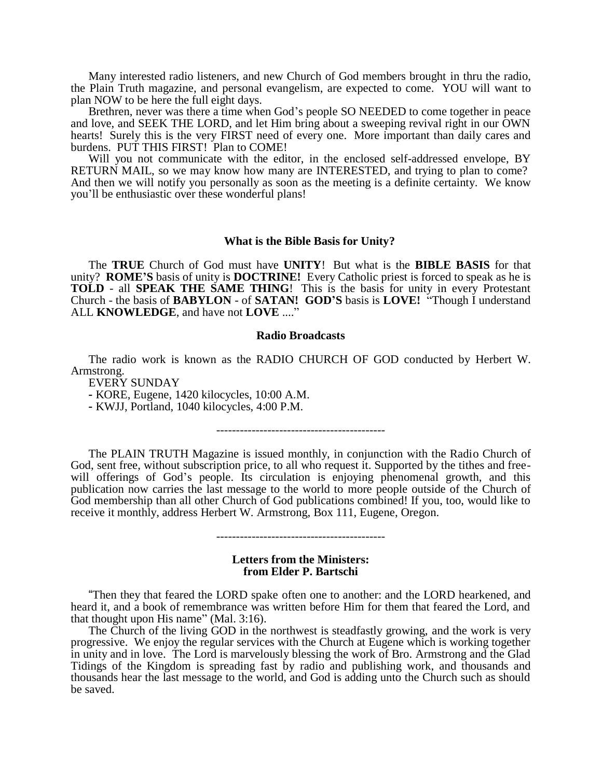Many interested radio listeners, and new Church of God members brought in thru the radio, the Plain Truth magazine, and personal evangelism, are expected to come. YOU will want to plan NOW to be here the full eight days.

Brethren, never was there a time when God's people SO NEEDED to come together in peace and love, and SEEK THE LORD, and let Him bring about a sweeping revival right in our OWN hearts! Surely this is the very FIRST need of every one. More important than daily cares and burdens. PUT THIS FIRST! Plan to COME!

Will you not communicate with the editor, in the enclosed self-addressed envelope, BY RETURN MAIL, so we may know how many are INTERESTED, and trying to plan to come? And then we will notify you personally as soon as the meeting is a definite certainty. We know you'll be enthusiastic over these wonderful plans!

#### **What is the Bible Basis for Unity?**

The **TRUE** Church of God must have **UNITY**! But what is the **BIBLE BASIS** for that unity? **ROME'S** basis of unity is **DOCTRINE!** Every Catholic priest is forced to speak as he is **TOLD** - all **SPEAK THE SAME THING**! This is the basis for unity in every Protestant Church - the basis of **BABYLON** - of **SATAN! GOD'S** basis is **LOVE!** "Though I understand ALL **KNOWLEDGE**, and have not **LOVE** ...."

#### **Radio Broadcasts**

The radio work is known as the RADIO CHURCH OF GOD conducted by Herbert W. Armstrong.

EVERY SUNDAY

- KORE, Eugene, 1420 kilocycles, 10:00 A.M.

- KWJJ, Portland, 1040 kilocycles, 4:00 P.M.

The PLAIN TRUTH Magazine is issued monthly, in conjunction with the Radio Church of God, sent free, without subscription price, to all who request it. Supported by the tithes and freewill offerings of God's people. Its circulation is enjoying phenomenal growth, and this publication now carries the last message to the world to more people outside of the Church of God membership than all other Church of God publications combined! If you, too, would like to receive it monthly, address Herbert W. Armstrong, Box 111, Eugene, Oregon.

-------------------------------------------

-------------------------------------------

#### **Letters from the Ministers: from Elder P. Bartschi**

"Then they that feared the LORD spake often one to another: and the LORD hearkened, and heard it, and a book of remembrance was written before Him for them that feared the Lord, and that thought upon His name" (Mal. 3:16).

The Church of the living GOD in the northwest is steadfastly growing, and the work is very progressive. We enjoy the regular services with the Church at Eugene which is working together in unity and in love. The Lord is marvelously blessing the work of Bro. Armstrong and the Glad Tidings of the Kingdom is spreading fast by radio and publishing work, and thousands and thousands hear the last message to the world, and God is adding unto the Church such as should be saved.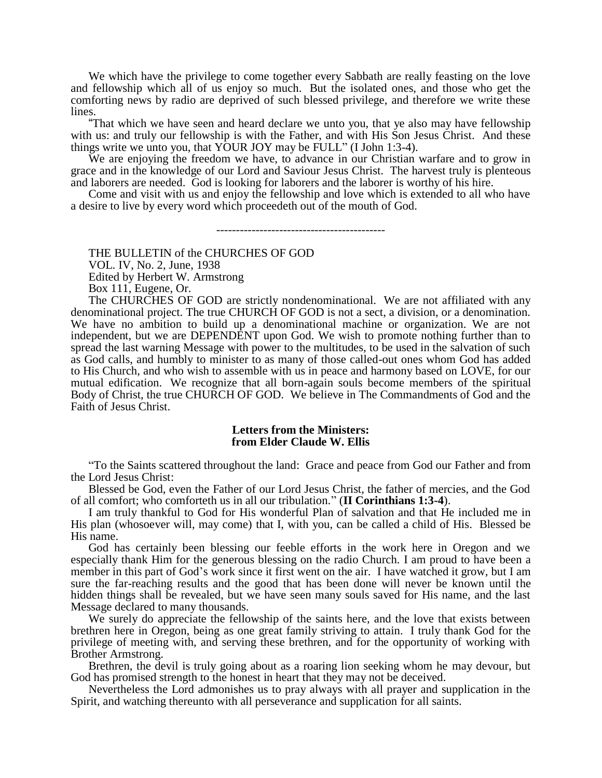We which have the privilege to come together every Sabbath are really feasting on the love and fellowship which all of us enjoy so much. But the isolated ones, and those who get the comforting news by radio are deprived of such blessed privilege, and therefore we write these lines.

"That which we have seen and heard declare we unto you, that ye also may have fellowship with us: and truly our fellowship is with the Father, and with His Son Jesus Christ. And these things write we unto you, that YOUR JOY may be FULL" (I John 1:3-4).

We are enjoying the freedom we have, to advance in our Christian warfare and to grow in grace and in the knowledge of our Lord and Saviour Jesus Christ. The harvest truly is plenteous and laborers are needed. God is looking for laborers and the laborer is worthy of his hire.

Come and visit with us and enjoy the fellowship and love which is extended to all who have a desire to live by every word which proceedeth out of the mouth of God.

-------------------------------------------

THE BULLETIN of the CHURCHES OF GOD VOL. IV, No. 2, June, 1938 Edited by Herbert W. Armstrong Box 111, Eugene, Or.

The CHURCHES OF GOD are strictly nondenominational. We are not affiliated with any denominational project. The true CHURCH OF GOD is not a sect, a division, or a denomination. We have no ambition to build up a denominational machine or organization. We are not independent, but we are DEPENDENT upon God. We wish to promote nothing further than to spread the last warning Message with power to the multitudes, to be used in the salvation of such as God calls, and humbly to minister to as many of those called-out ones whom God has added to His Church, and who wish to assemble with us in peace and harmony based on LOVE, for our mutual edification. We recognize that all born-again souls become members of the spiritual Body of Christ, the true CHURCH OF GOD. We believe in The Commandments of God and the Faith of Jesus Christ.

#### **Letters from the Ministers: from Elder Claude W. Ellis**

"To the Saints scattered throughout the land: Grace and peace from God our Father and from the Lord Jesus Christ:

Blessed be God, even the Father of our Lord Jesus Christ, the father of mercies, and the God of all comfort; who comforteth us in all our tribulation." (**II Corinthians 1:3-4**).

I am truly thankful to God for His wonderful Plan of salvation and that He included me in His plan (whosoever will, may come) that I, with you, can be called a child of His. Blessed be His name.

God has certainly been blessing our feeble efforts in the work here in Oregon and we especially thank Him for the generous blessing on the radio Church. I am proud to have been a member in this part of God's work since it first went on the air. I have watched it grow, but I am sure the far-reaching results and the good that has been done will never be known until the hidden things shall be revealed, but we have seen many souls saved for His name, and the last Message declared to many thousands.

We surely do appreciate the fellowship of the saints here, and the love that exists between brethren here in Oregon, being as one great family striving to attain. I truly thank God for the privilege of meeting with, and serving these brethren, and for the opportunity of working with Brother Armstrong.

Brethren, the devil is truly going about as a roaring lion seeking whom he may devour, but God has promised strength to the honest in heart that they may not be deceived.

Nevertheless the Lord admonishes us to pray always with all prayer and supplication in the Spirit, and watching thereunto with all perseverance and supplication for all saints.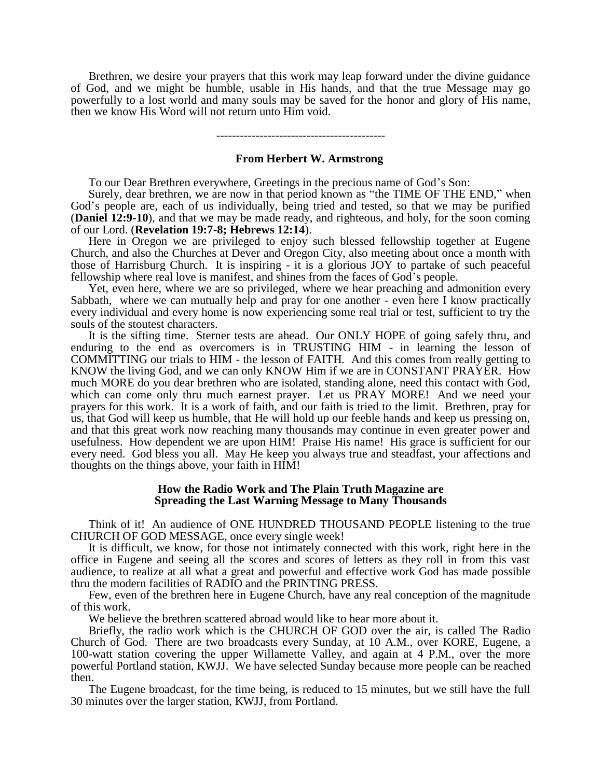Brethren, we desire your prayers that this work may leap forward under the divine guidance of God, and we might be humble, usable in His hands, and that the true Message may go powerfully to a lost world and many souls may be saved for the honor and glory of His name, then we know His Word will not return unto Him void.

-------------------------------------------

#### **From Herbert W. Armstrong**

To our Dear Brethren everywhere, Greetings in the precious name of God's Son:

Surely, dear brethren, we are now in that period known as "the TIME OF THE END," when God's people are, each of us individually, being tried and tested, so that we may be purified (**Daniel 12:9-10**), and that we may be made ready, and righteous, and holy, for the soon coming of our Lord. (**Revelation 19:7-8; Hebrews 12:14**).

Here in Oregon we are privileged to enjoy such blessed fellowship together at Eugene Church, and also the Churches at Dever and Oregon City, also meeting about once a month with those of Harrisburg Church. It is inspiring - it is a glorious JOY to partake of such peaceful fellowship where real love is manifest, and shines from the faces of God's people.

Yet, even here, where we are so privileged, where we hear preaching and admonition every Sabbath, where we can mutually help and pray for one another - even here I know practically every individual and every home is now experiencing some real trial or test, sufficient to try the souls of the stoutest characters.

It is the sifting time. Sterner tests are ahead. Our ONLY HOPE of going safely thru, and enduring to the end as overcomers is in TRUSTING HIM - in learning the lesson of COMMITTING our trials to HIM - the lesson of FAITH. And this comes from really getting to KNOW the living God, and we can only KNOW Him if we are in CONSTANT PRAYER. How much MORE do you dear brethren who are isolated, standing alone, need this contact with God, which can come only thru much earnest prayer. Let us PRAY MORE! And we need your prayers for this work. It is a work of faith, and our faith is tried to the limit. Brethren, pray for us, that God will keep us humble, that He will hold up our feeble hands and keep us pressing on, and that this great work now reaching many thousands may continue in even greater power and usefulness. How dependent we are upon HIM! Praise His name! His grace is sufficient for our every need. God bless you all. May He keep you always true and steadfast, your affections and thoughts on the things above, your faith in HIM!

### **How the Radio Work and The Plain Truth Magazine are Spreading the Last Warning Message to Many Thousands**

Think of it! An audience of ONE HUNDRED THOUSAND PEOPLE listening to the true CHURCH OF GOD MESSAGE, once every single week!

It is difficult, we know, for those not intimately connected with this work, right here in the office in Eugene and seeing all the scores and scores of letters as they roll in from this vast audience, to realize at all what a great and powerful and effective work God has made possible thru the modern facilities of RADIO and the PRINTING PRESS.

Few, even of the brethren here in Eugene Church, have any real conception of the magnitude of this work.

We believe the brethren scattered abroad would like to hear more about it.

Briefly, the radio work which is the CHURCH OF GOD over the air, is called The Radio Church of God. There are two broadcasts every Sunday, at 10 A.M., over KORE, Eugene, a 100-watt station covering the upper Willamette Valley, and again at 4 P.M., over the more powerful Portland station, KWJJ. We have selected Sunday because more people can be reached then.

The Eugene broadcast, for the time being, is reduced to 15 minutes, but we still have the full 30 minutes over the larger station, KWJJ, from Portland.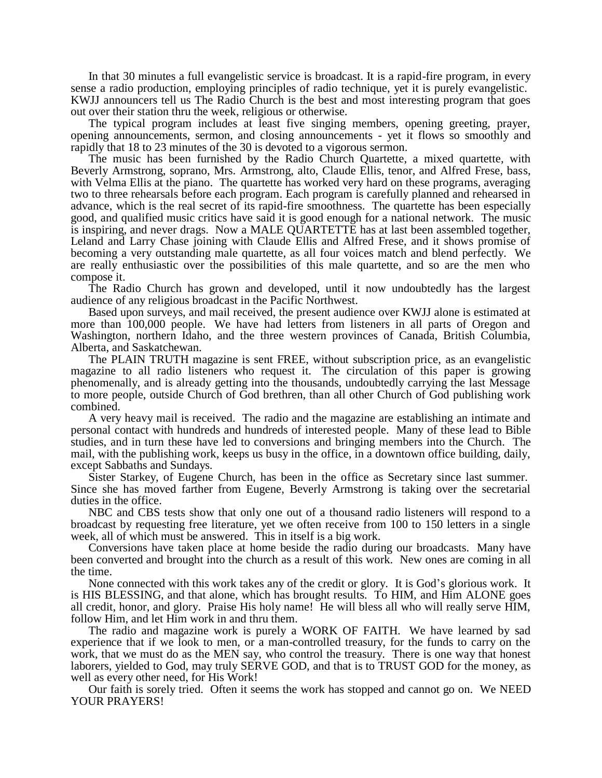In that 30 minutes a full evangelistic service is broadcast. It is a rapid-fire program, in every sense a radio production, employing principles of radio technique, yet it is purely evangelistic. KWJJ announcers tell us The Radio Church is the best and most interesting program that goes out over their station thru the week, religious or otherwise.

The typical program includes at least five singing members, opening greeting, prayer, opening announcements, sermon, and closing announcements - yet it flows so smoothly and rapidly that 18 to 23 minutes of the 30 is devoted to a vigorous sermon.

The music has been furnished by the Radio Church Quartette, a mixed quartette, with Beverly Armstrong, soprano, Mrs. Armstrong, alto, Claude Ellis, tenor, and Alfred Frese, bass, with Velma Ellis at the piano. The quartette has worked very hard on these programs, averaging two to three rehearsals before each program. Each program is carefully planned and rehearsed in advance, which is the real secret of its rapid-fire smoothness. The quartette has been especially good, and qualified music critics have said it is good enough for a national network. The music is inspiring, and never drags. Now a MALE QUARTETTE has at last been assembled together, Leland and Larry Chase joining with Claude Ellis and Alfred Frese, and it shows promise of becoming a very outstanding male quartette, as all four voices match and blend perfectly. We are really enthusiastic over the possibilities of this male quartette, and so are the men who compose it.

The Radio Church has grown and developed, until it now undoubtedly has the largest audience of any religious broadcast in the Pacific Northwest.

Based upon surveys, and mail received, the present audience over KWJJ alone is estimated at more than 100,000 people. We have had letters from listeners in all parts of Oregon and Washington, northern Idaho, and the three western provinces of Canada, British Columbia, Alberta, and Saskatchewan.

The PLAIN TRUTH magazine is sent FREE, without subscription price, as an evangelistic magazine to all radio listeners who request it. The circulation of this paper is growing phenomenally, and is already getting into the thousands, undoubtedly carrying the last Message to more people, outside Church of God brethren, than all other Church of God publishing work combined.

A very heavy mail is received. The radio and the magazine are establishing an intimate and personal contact with hundreds and hundreds of interested people. Many of these lead to Bible studies, and in turn these have led to conversions and bringing members into the Church. The mail, with the publishing work, keeps us busy in the office, in a downtown office building, daily, except Sabbaths and Sundays.

Sister Starkey, of Eugene Church, has been in the office as Secretary since last summer. Since she has moved farther from Eugene, Beverly Armstrong is taking over the secretarial duties in the office.

NBC and CBS tests show that only one out of a thousand radio listeners will respond to a broadcast by requesting free literature, yet we often receive from 100 to 150 letters in a single week, all of which must be answered. This in itself is a big work.

Conversions have taken place at home beside the radio during our broadcasts. Many have been converted and brought into the church as a result of this work. New ones are coming in all the time.

None connected with this work takes any of the credit or glory. It is God's glorious work. It is HIS BLESSING, and that alone, which has brought results. To HIM, and Him ALONE goes all credit, honor, and glory. Praise His holy name! He will bless all who will really serve HIM, follow Him, and let Him work in and thru them.

The radio and magazine work is purely a WORK OF FAITH. We have learned by sad experience that if we look to men, or a man-controlled treasury, for the funds to carry on the work, that we must do as the MEN say, who control the treasury. There is one way that honest laborers, yielded to God, may truly SERVE GOD, and that is to TRUST GOD for the money, as well as every other need, for His Work!

Our faith is sorely tried. Often it seems the work has stopped and cannot go on. We NEED YOUR PRAYERS!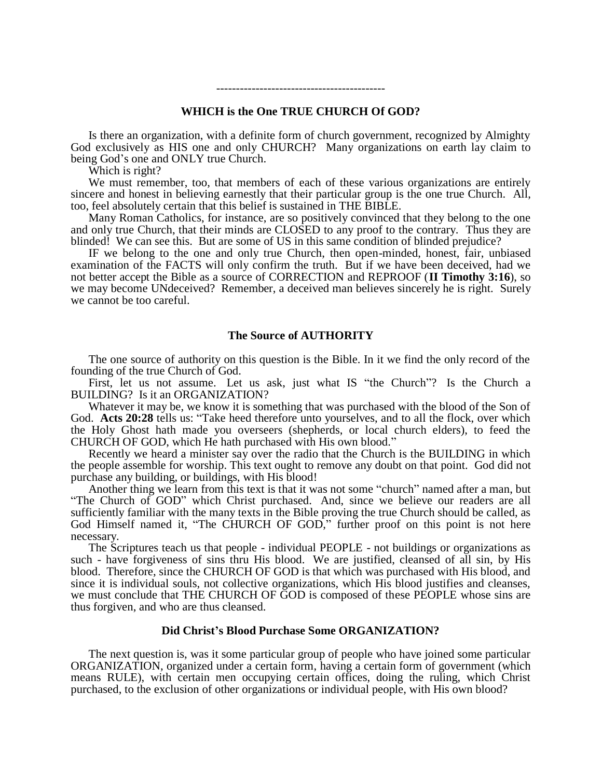## **WHICH is the One TRUE CHURCH Of GOD?**

-------------------------------------------

Is there an organization, with a definite form of church government, recognized by Almighty God exclusively as HIS one and only CHURCH? Many organizations on earth lay claim to being God's one and ONLY true Church.

Which is right?

We must remember, too, that members of each of these various organizations are entirely sincere and honest in believing earnestly that their particular group is the one true Church. All, too, feel absolutely certain that this belief is sustained in THE BIBLE.

Many Roman Catholics, for instance, are so positively convinced that they belong to the one and only true Church, that their minds are CLOSED to any proof to the contrary. Thus they are blinded! We can see this. But are some of US in this same condition of blinded prejudice?

IF we belong to the one and only true Church, then open-minded, honest, fair, unbiased examination of the FACTS will only confirm the truth. But if we have been deceived, had we not better accept the Bible as a source of CORRECTION and REPROOF (**II Timothy 3:16**), so we may become UNdeceived? Remember, a deceived man believes sincerely he is right. Surely we cannot be too careful.

## **The Source of AUTHORITY**

The one source of authority on this question is the Bible. In it we find the only record of the founding of the true Church of God.

First, let us not assume. Let us ask, just what IS "the Church"? Is the Church a BUILDING? Is it an ORGANIZATION?

Whatever it may be, we know it is something that was purchased with the blood of the Son of God. **Acts 20:28** tells us: "Take heed therefore unto yourselves, and to all the flock, over which the Holy Ghost hath made you overseers (shepherds, or local church elders), to feed the CHURCH OF GOD, which He hath purchased with His own blood."

Recently we heard a minister say over the radio that the Church is the BUILDING in which the people assemble for worship. This text ought to remove any doubt on that point. God did not purchase any building, or buildings, with His blood!

Another thing we learn from this text is that it was not some "church" named after a man, but "The Church of GOD" which Christ purchased. And, since we believe our readers are all sufficiently familiar with the many texts in the Bible proving the true Church should be called, as God Himself named it, "The CHURCH OF GOD," further proof on this point is not here necessary.

The Scriptures teach us that people - individual PEOPLE - not buildings or organizations as such - have forgiveness of sins thru His blood. We are justified, cleansed of all sin, by His blood. Therefore, since the CHURCH OF GOD is that which was purchased with His blood, and since it is individual souls, not collective organizations, which His blood justifies and cleanses, we must conclude that THE CHURCH OF GOD is composed of these PEOPLE whose sins are thus forgiven, and who are thus cleansed.

#### **Did Christ's Blood Purchase Some ORGANIZATION?**

The next question is, was it some particular group of people who have joined some particular ORGANIZATION, organized under a certain form, having a certain form of government (which means RULE), with certain men occupying certain offices, doing the ruling, which Christ purchased, to the exclusion of other organizations or individual people, with His own blood?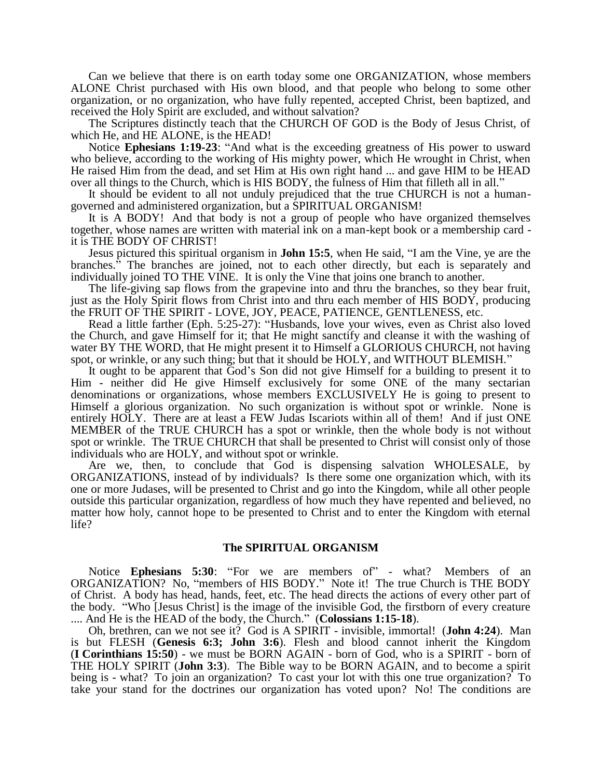Can we believe that there is on earth today some one ORGANIZATION, whose members ALONE Christ purchased with His own blood, and that people who belong to some other organization, or no organization, who have fully repented, accepted Christ, been baptized, and received the Holy Spirit are excluded, and without salvation?

The Scriptures distinctly teach that the CHURCH OF GOD is the Body of Jesus Christ, of which He, and HE ALONE, is the HEAD!

Notice **Ephesians 1:19-23**: "And what is the exceeding greatness of His power to usward who believe, according to the working of His mighty power, which He wrought in Christ, when He raised Him from the dead, and set Him at His own right hand ... and gave HIM to be HEAD over all things to the Church, which is HIS BODY, the fulness of Him that filleth all in all."

It should be evident to all not unduly prejudiced that the true CHURCH is not a humangoverned and administered organization, but a SPIRITUAL ORGANISM!

It is A BODY! And that body is not a group of people who have organized themselves together, whose names are written with material ink on a man-kept book or a membership card it is THE BODY OF CHRIST!

Jesus pictured this spiritual organism in **John 15:5**, when He said, "I am the Vine, ye are the branches." The branches are joined, not to each other directly, but each is separately and individually joined TO THE VINE. It is only the Vine that joins one branch to another.

The life-giving sap flows from the grapevine into and thru the branches, so they bear fruit, just as the Holy Spirit flows from Christ into and thru each member of HIS BODY, producing the FRUIT OF THE SPIRIT - LOVE, JOY, PEACE, PATIENCE, GENTLENESS, etc.

Read a little farther (Eph. 5:25-27): "Husbands, love your wives, even as Christ also loved the Church, and gave Himself for it; that He might sanctify and cleanse it with the washing of water BY THE WORD, that He might present it to Himself a GLORIOUS CHURCH, not having spot, or wrinkle, or any such thing; but that it should be HOLY, and WITHOUT BLEMISH."

It ought to be apparent that God's Son did not give Himself for a building to present it to Him - neither did He give Himself exclusively for some ONE of the many sectarian denominations or organizations, whose members EXCLUSIVELY He is going to present to Himself a glorious organization. No such organization is without spot or wrinkle. None is entirely HOLY. There are at least a FEW Judas Iscariots within all of them! And if just ONE MEMBER of the TRUE CHURCH has a spot or wrinkle, then the whole body is not without spot or wrinkle. The TRUE CHURCH that shall be presented to Christ will consist only of those individuals who are HOLY, and without spot or wrinkle.

Are we, then, to conclude that God is dispensing salvation WHOLESALE, by ORGANIZATIONS, instead of by individuals? Is there some one organization which, with its one or more Judases, will be presented to Christ and go into the Kingdom, while all other people outside this particular organization, regardless of how much they have repented and believed, no matter how holy, cannot hope to be presented to Christ and to enter the Kingdom with eternal life?

## **The SPIRITUAL ORGANISM**

Notice **Ephesians 5:30**: "For we are members of" - what? Members of an ORGANIZATION? No, "members of HIS BODY." Note it! The true Church is THE BODY of Christ. A body has head, hands, feet, etc. The head directs the actions of every other part of the body. "Who [Jesus Christ] is the image of the invisible God, the firstborn of every creature .... And He is the HEAD of the body, the Church." (**Colossians 1:15-18**).

Oh, brethren, can we not see it? God is A SPIRIT - invisible, immortal! (**John 4:24**). Man is but FLESH (**Genesis 6:3; John 3:6**). Flesh and blood cannot inherit the Kingdom (**I Corinthians 15:50**) - we must be BORN AGAIN - born of God, who is a SPIRIT - born of THE HOLY SPIRIT (**John 3:3**). The Bible way to be BORN AGAIN, and to become a spirit being is - what? To join an organization? To cast your lot with this one true organization? To take your stand for the doctrines our organization has voted upon? No! The conditions are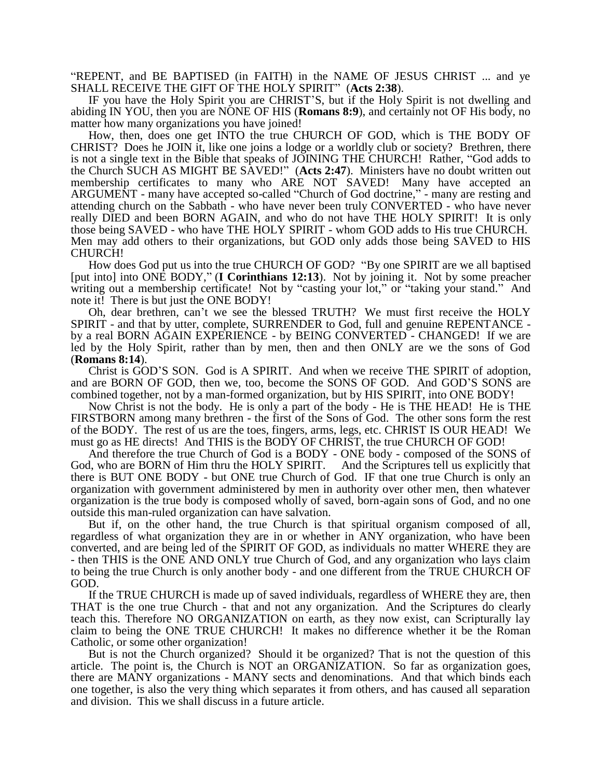"REPENT, and BE BAPTISED (in FAITH) in the NAME OF JESUS CHRIST ... and ye SHALL RECEIVE THE GIFT OF THE HOLY SPIRIT" (**Acts 2:38**).

IF you have the Holy Spirit you are CHRIST'S, but if the Holy Spirit is not dwelling and abiding IN YOU, then you are NONE OF HIS (**Romans 8:9**), and certainly not OF His body, no matter how many organizations you have joined!

How, then, does one get INTO the true CHURCH OF GOD, which is THE BODY OF CHRIST? Does he JOIN it, like one joins a lodge or a worldly club or society? Brethren, there is not a single text in the Bible that speaks of JOINING THE CHURCH! Rather, "God adds to the Church SUCH AS MIGHT BE SAVED!" (**Acts 2:47**). Ministers have no doubt written out membership certificates to many who ARE NOT SAVED! Many have accepted an ARGUMENT - many have accepted so-called "Church of God doctrine," - many are resting and attending church on the Sabbath - who have never been truly CONVERTED - who have never really DIED and been BORN AGAIN, and who do not have THE HOLY SPIRIT! It is only those being SAVED - who have THE HOLY SPIRIT - whom GOD adds to His true CHURCH. Men may add others to their organizations, but GOD only adds those being SAVED to HIS CHURCH!

How does God put us into the true CHURCH OF GOD? "By one SPIRIT are we all baptised [put into] into ONE BODY," (**I Corinthians 12:13**). Not by joining it. Not by some preacher writing out a membership certificate! Not by "casting your lot," or "taking your stand." And note it! There is but just the ONE BODY!

Oh, dear brethren, can't we see the blessed TRUTH? We must first receive the HOLY SPIRIT - and that by utter, complete, SURRENDER to God, full and genuine REPENTANCE by a real BORN AGAIN EXPERIENCE - by BEING CONVERTED - CHANGED! If we are led by the Holy Spirit, rather than by men, then and then ONLY are we the sons of God (**Romans 8:14**).

Christ is GOD'S SON. God is A SPIRIT. And when we receive THE SPIRIT of adoption, and are BORN OF GOD, then we, too, become the SONS OF GOD. And GOD'S SONS are combined together, not by a man-formed organization, but by HIS SPIRIT, into ONE BODY!

Now Christ is not the body. He is only a part of the body - He is THE HEAD! He is THE FIRSTBORN among many brethren - the first of the Sons of God. The other sons form the rest of the BODY. The rest of us are the toes, fingers, arms, legs, etc. CHRIST IS OUR HEAD! We must go as HE directs! And THIS is the BODY OF CHRIST, the true CHURCH OF GOD!

And therefore the true Church of God is a BODY - ONE body - composed of the SONS of God, who are BORN of Him thru the HOLY SPIRIT. And the Scriptures tell us explicitly that there is BUT ONE BODY - but ONE true Church of God. IF that one true Church is only an organization with government administered by men in authority over other men, then whatever organization is the true body is composed wholly of saved, born-again sons of God, and no one outside this man-ruled organization can have salvation.

But if, on the other hand, the true Church is that spiritual organism composed of all, regardless of what organization they are in or whether in ANY organization, who have been converted, and are being led of the SPIRIT OF GOD, as individuals no matter WHERE they are - then THIS is the ONE AND ONLY true Church of God, and any organization who lays claim to being the true Church is only another body - and one different from the TRUE CHURCH OF GOD.

If the TRUE CHURCH is made up of saved individuals, regardless of WHERE they are, then THAT is the one true Church - that and not any organization. And the Scriptures do clearly teach this. Therefore NO ORGANIZATION on earth, as they now exist, can Scripturally lay claim to being the ONE TRUE CHURCH! It makes no difference whether it be the Roman Catholic, or some other organization!

But is not the Church organized? Should it be organized? That is not the question of this article. The point is, the Church is NOT an ORGANIZATION. So far as organization goes, there are MANY organizations - MANY sects and denominations. And that which binds each one together, is also the very thing which separates it from others, and has caused all separation and division. This we shall discuss in a future article.